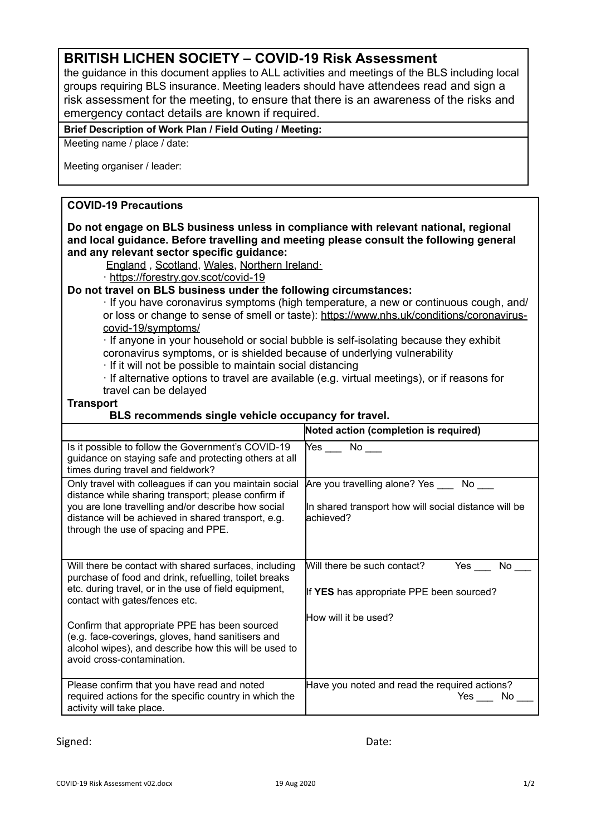## **BRITISH LICHEN SOCIETY – COVID-19 Risk Assessment**

the guidance in this document applies to ALL activities and meetings of the BLS including local groups requiring BLS insurance. Meeting leaders should have attendees read and sign a risk assessment for the meeting, to ensure that there is an awareness of the risks and emergency contact details are known if required.

#### **Brief Description of Work Plan / Field Outing / Meeting:**

Meeting name / place / date:

Meeting organiser / leader:

### **COVID-19 Precautions**

**Do not engage on BLS business unless in compliance with relevant national, regional and local guidance. Before travelling and meeting please consult the following general and any relevant sector specific guidance:** 

[England](https://www.gov.uk/government/publications/coronavirus-outbreak-faqs-what-you-can-and-cant-do/coronavirus-outbreak-faqs-what-you-can-and-cant-do) , [Scotland,](https://www.gov.uk/guidance/coronavirus-covid-19-information-for-individuals-and-businesses-in-scotland) [Wales,](https://gov.wales/coronavirus) [Northern Ireland·](https://www.nidirect.gov.uk/campaigns/coronavirus-covid-19)

· <https://forestry.gov.scot/covid-19>

#### **Do not travel on BLS business under the following circumstances:**

· If you have coronavirus symptoms (high temperature, a new or continuous cough, and/ or loss or change to sense of smell or taste): [https://www.nhs.uk/conditions/coronavirus](https://www.nhs.uk/conditions/coronavirus-covid-19/symptoms/)[covid-19/symptoms/](https://www.nhs.uk/conditions/coronavirus-covid-19/symptoms/)

· If anyone in your household or social bubble is self-isolating because they exhibit coronavirus symptoms, or is shielded because of underlying vulnerability

· If it will not be possible to maintain social distancing

· If alternative options to travel are available (e.g. virtual meetings), or if reasons for travel can be delayed

#### **Transport**

#### **BLS recommends single vehicle occupancy for travel.**

|                                                                                                                                                                                                                                                                   | Noted action (completion is required)                                                                                                                                                                                                 |
|-------------------------------------------------------------------------------------------------------------------------------------------------------------------------------------------------------------------------------------------------------------------|---------------------------------------------------------------------------------------------------------------------------------------------------------------------------------------------------------------------------------------|
| Is it possible to follow the Government's COVID-19<br>guidance on staying safe and protecting others at all<br>times during travel and fieldwork?                                                                                                                 | Yes the set of the set of the set of the set of the set of the set of the set of the set of the set of the set of the set of the set of the set of the set of the set of the set of the set of the set of the set of the set of<br>No |
| Only travel with colleagues if can you maintain social<br>distance while sharing transport; please confirm if<br>you are lone travelling and/or describe how social<br>distance will be achieved in shared transport, e.g.<br>through the use of spacing and PPE. | Are you travelling alone? Yes<br>No<br>In shared transport how will social distance will be<br>lachieved?                                                                                                                             |
| Will there be contact with shared surfaces, including<br>purchase of food and drink, refuelling, toilet breaks<br>etc. during travel, or in the use of field equipment,<br>contact with gates/fences etc.                                                         | Will there be such contact?<br>Yes<br>No.<br>If YES has appropriate PPE been sourced?                                                                                                                                                 |
| Confirm that appropriate PPE has been sourced<br>(e.g. face-coverings, gloves, hand sanitisers and<br>alcohol wipes), and describe how this will be used to<br>avoid cross-contamination.                                                                         | How will it be used?                                                                                                                                                                                                                  |
| Please confirm that you have read and noted<br>required actions for the specific country in which the<br>activity will take place.                                                                                                                                | Have you noted and read the required actions?<br>Yes<br>No.                                                                                                                                                                           |

Signed: Date: